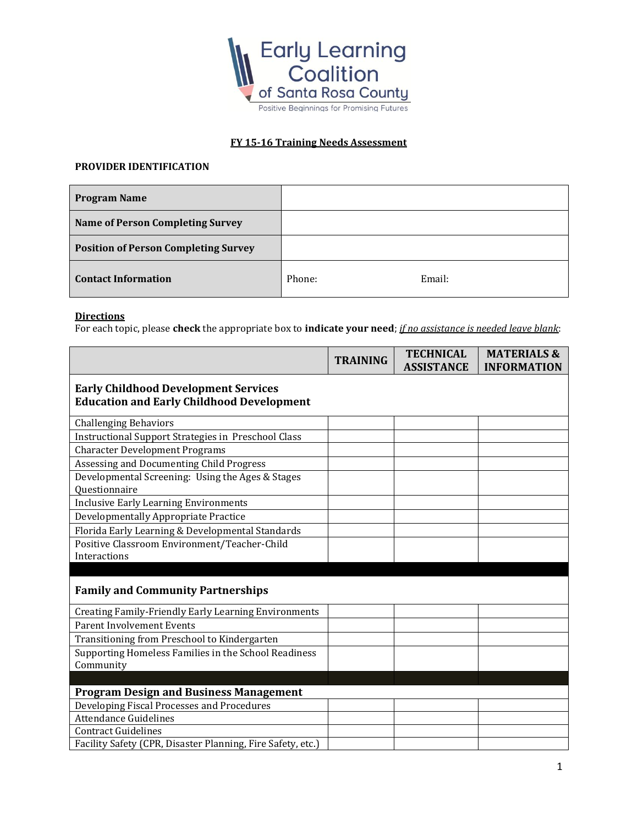

## **FY 15-16 Training Needs Assessment**

## **PROVIDER IDENTIFICATION**

| <b>Program Name</b>                         |        |        |
|---------------------------------------------|--------|--------|
| <b>Name of Person Completing Survey</b>     |        |        |
| <b>Position of Person Completing Survey</b> |        |        |
| <b>Contact Information</b>                  | Phone: | Email: |

## **Directions**

For each topic, please **check** the appropriate box to **indicate your need**; *if no assistance is needed leave blank*:

|                                                                                                 | <b>TRAINING</b> | <b>TECHNICAL</b><br><b>ASSISTANCE</b> | <b>MATERIALS &amp;</b><br><b>INFORMATION</b> |
|-------------------------------------------------------------------------------------------------|-----------------|---------------------------------------|----------------------------------------------|
| <b>Early Childhood Development Services</b><br><b>Education and Early Childhood Development</b> |                 |                                       |                                              |
| <b>Challenging Behaviors</b>                                                                    |                 |                                       |                                              |
| Instructional Support Strategies in Preschool Class                                             |                 |                                       |                                              |
| <b>Character Development Programs</b>                                                           |                 |                                       |                                              |
| Assessing and Documenting Child Progress                                                        |                 |                                       |                                              |
| Developmental Screening: Using the Ages & Stages<br>Questionnaire                               |                 |                                       |                                              |
| <b>Inclusive Early Learning Environments</b>                                                    |                 |                                       |                                              |
| Developmentally Appropriate Practice                                                            |                 |                                       |                                              |
| Florida Early Learning & Developmental Standards                                                |                 |                                       |                                              |
| Positive Classroom Environment/Teacher-Child                                                    |                 |                                       |                                              |
| Interactions                                                                                    |                 |                                       |                                              |
|                                                                                                 |                 |                                       |                                              |
| <b>Family and Community Partnerships</b>                                                        |                 |                                       |                                              |
| Creating Family-Friendly Early Learning Environments                                            |                 |                                       |                                              |
| <b>Parent Involvement Events</b>                                                                |                 |                                       |                                              |
| Transitioning from Preschool to Kindergarten                                                    |                 |                                       |                                              |
| Supporting Homeless Families in the School Readiness                                            |                 |                                       |                                              |
| Community                                                                                       |                 |                                       |                                              |
|                                                                                                 |                 |                                       |                                              |
| <b>Program Design and Business Management</b>                                                   |                 |                                       |                                              |
| Developing Fiscal Processes and Procedures                                                      |                 |                                       |                                              |
| <b>Attendance Guidelines</b>                                                                    |                 |                                       |                                              |
| <b>Contract Guidelines</b>                                                                      |                 |                                       |                                              |
| Facility Safety (CPR, Disaster Planning, Fire Safety, etc.)                                     |                 |                                       |                                              |